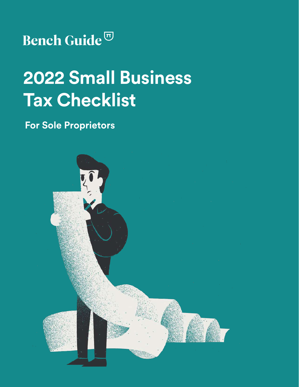## Bench Guide<sup>T</sup>

# **2022 Small Business Tax Checklist**

## **For Sole Proprietors**

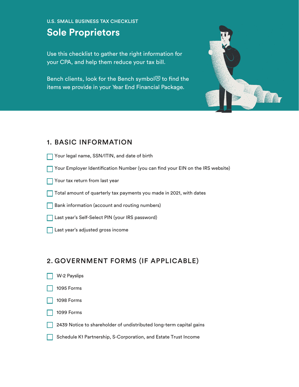#### U.S. SMALL BUSINESS TAX CHECKLIST

### **Sole Proprietors**

Use this checklist to gather the right information for your CPA, and help them reduce your tax bill.

Bench clients, look for the Bench symbol $\overline{\omega}$  to find the items we provide in your Year End Financial Package.



#### 1. BASIC INFORMATION

- Your legal name, SSN/ITIN, and date of birth
- Your Employer Identification Number (you can find your EIN on the IRS website)
- **Vour tax return from last year**
- $\Box$  Total amount of quarterly tax payments you made in 2021, with dates
- Bank information (account and routing numbers)
- Last year's Self-Select PIN (your IRS password)
- **Last year's adjusted gross income**

#### 2. GOVERNMENT FORMS (IF APPLICABLE)

W-2 Payslips 1099 Forms 1095 Forms 2439 Notice to shareholder of undistributed long-term capital gains 1098 Forms Schedule K1 Partnership, S-Corporation, and Estate Trust Income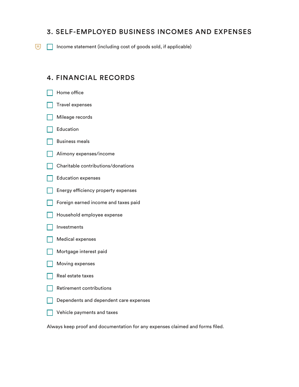#### 3. SELF-EMPLOYED BUSINESS INCOMES AND EXPENSES

 $\boxed{\overline{\mathbf{u}}}$  Income statement (including cost of goods sold, if applicable)

#### 4. FINANCIAL RECORDS

|  | Home office                            |
|--|----------------------------------------|
|  | <b>Travel expenses</b>                 |
|  | Mileage records                        |
|  | Education                              |
|  | <b>Business meals</b>                  |
|  | Alimony expenses/income                |
|  | Charitable contributions/donations     |
|  | <b>Education expenses</b>              |
|  | Energy efficiency property expenses    |
|  | Foreign earned income and taxes paid   |
|  | Household employee expense             |
|  | Investments                            |
|  | <b>Medical expenses</b>                |
|  | Mortgage interest paid                 |
|  | Moving expenses                        |
|  | Real estate taxes                      |
|  | <b>Retirement contributions</b>        |
|  | Dependents and dependent care expenses |
|  | Vehicle payments and taxes             |

Always keep proof and documentation for any expenses claimed and forms fled.